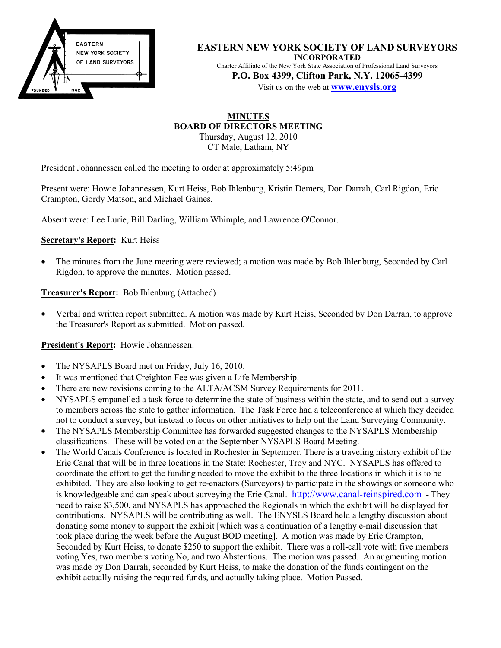

**EASTERN NEW YORK SOCIETY OF LAND SURVEYORS INCORPORATED** Charter Affiliate of the New York State Association of Professional Land Surveyors **P.O. Box 4399, Clifton Park, N.Y. 12065-4399** Visit us on the web at **www.enysls.org**

### **MINUTES BOARD OF DIRECTORS MEETING** Thursday, August 12, 2010

CT Male, Latham, NY

President Johannessen called the meeting to order at approximately 5:49pm

Present were: Howie Johannessen, Kurt Heiss, Bob Ihlenburg, Kristin Demers, Don Darrah, Carl Rigdon, Eric Crampton, Gordy Matson, and Michael Gaines.

Absent were: Lee Lurie, Bill Darling, William Whimple, and Lawrence O'Connor.

# **Secretary's Report:** Kurt Heiss

• The minutes from the June meeting were reviewed; a motion was made by Bob Ihlenburg, Seconded by Carl Rigdon, to approve the minutes. Motion passed.

# **Treasurer's Report:** Bob Ihlenburg (Attached)

• Verbal and written report submitted. A motion was made by Kurt Heiss, Seconded by Don Darrah, to approve the Treasurer's Report as submitted. Motion passed.

# **President's Report:** Howie Johannessen:

- The NYSAPLS Board met on Friday, July 16, 2010.
- It was mentioned that Creighton Fee was given a Life Membership.
- There are new revisions coming to the ALTA/ACSM Survey Requirements for 2011.
- NYSAPLS empanelled a task force to determine the state of business within the state, and to send out a survey to members across the state to gather information. The Task Force had a teleconference at which they decided not to conduct a survey, but instead to focus on other initiatives to help out the Land Surveying Community.
- The NYSAPLS Membership Committee has forwarded suggested changes to the NYSAPLS Membership classifications. These will be voted on at the September NYSAPLS Board Meeting.
- The World Canals Conference is located in Rochester in September. There is a traveling history exhibit of the Erie Canal that will be in three locations in the State: Rochester, Troy and NYC. NYSAPLS has offered to coordinate the effort to get the funding needed to move the exhibit to the three locations in which it is to be exhibited. They are also looking to get re-enactors (Surveyors) to participate in the showings or someone who is knowledgeable and can speak about surveying the Erie Canal. [http://www.canal-reinspired.com](http://www.canal-reinspired.com/) - They need to raise \$3,500, and NYSAPLS has approached the Regionals in which the exhibit will be displayed for contributions. NYSAPLS will be contributing as well. The ENYSLS Board held a lengthy discussion about donating some money to support the exhibit [which was a continuation of a lengthy e-mail discussion that took place during the week before the August BOD meeting]. A motion was made by Eric Crampton, Seconded by Kurt Heiss, to donate \$250 to support the exhibit. There was a roll-call vote with five members voting  $Yes$ , two members voting  $No$ , and two Abstentions. The motion was passed. An augmenting motion</u> was made by Don Darrah, seconded by Kurt Heiss, to make the donation of the funds contingent on the exhibit actually raising the required funds, and actually taking place. Motion Passed.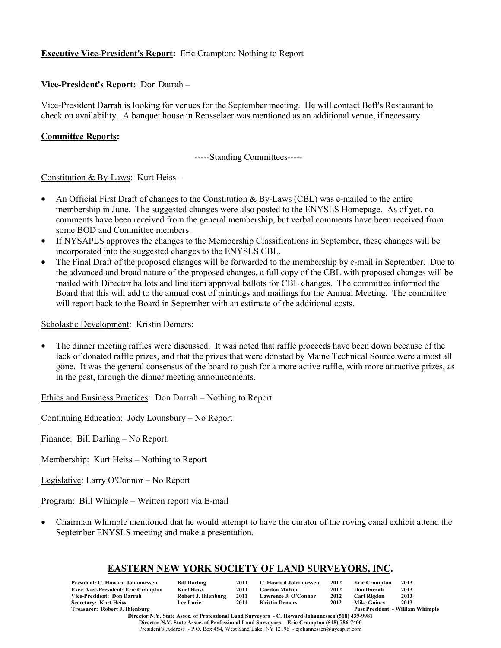# **Executive Vice-President's Report:** Eric Crampton: Nothing to Report

## **Vice-President's Report:** Don Darrah –

Vice-President Darrah is looking for venues for the September meeting. He will contact Beff's Restaurant to check on availability. A banquet house in Rensselaer was mentioned as an additional venue, if necessary.

## **Committee Reports:**

-----Standing Committees-----

Constitution & By-Laws: Kurt Heiss –

- An Official First Draft of changes to the Constitution & By-Laws (CBL) was e-mailed to the entire membership in June. The suggested changes were also posted to the ENYSLS Homepage. As of yet, no comments have been received from the general membership, but verbal comments have been received from some BOD and Committee members.
- If NYSAPLS approves the changes to the Membership Classifications in September, these changes will be incorporated into the suggested changes to the ENYSLS CBL.
- The Final Draft of the proposed changes will be forwarded to the membership by e-mail in September. Due to the advanced and broad nature of the proposed changes, a full copy of the CBL with proposed changes will be mailed with Director ballots and line item approval ballots for CBL changes. The committee informed the Board that this will add to the annual cost of printings and mailings for the Annual Meeting. The committee will report back to the Board in September with an estimate of the additional costs.

Scholastic Development: Kristin Demers:

• The dinner meeting raffles were discussed. It was noted that raffle proceeds have been down because of the lack of donated raffle prizes, and that the prizes that were donated by Maine Technical Source were almost all gone. It was the general consensus of the board to push for a more active raffle, with more attractive prizes, as in the past, through the dinner meeting announcements.

Ethics and Business Practices: Don Darrah – Nothing to Report

Continuing Education: Jody Lounsbury – No Report

Finance: Bill Darling – No Report.

Membership: Kurt Heiss – Nothing to Report

Legislative: Larry O'Connor – No Report

Program: Bill Whimple – Written report via E-mail

• Chairman Whimple mentioned that he would attempt to have the curator of the roving canal exhibit attend the September ENYSLS meeting and make a presentation.

# **EASTERN NEW YORK SOCIETY OF LAND SURVEYORS, INC.**

| <b>President: C. Howard Johannessen</b>                                                          | <b>Bill Darling</b> | 2011 | C. Howard Johannessen | 2012 | <b>Eric Crampton</b> | 2013                                    |  |  |
|--------------------------------------------------------------------------------------------------|---------------------|------|-----------------------|------|----------------------|-----------------------------------------|--|--|
| <b>Exec. Vice-President: Eric Crampton</b>                                                       | Kurt Heiss          | 2011 | <b>Gordon Matson</b>  | 2012 | <b>Don Darrah</b>    | 2013                                    |  |  |
| Vice-President: Don Darrah                                                                       | Robert J. Ihlenburg | 2011 | Lawrence J. O'Connor  | 2012 | Carl Rigdon          | 2013                                    |  |  |
| <b>Secretary: Kurt Heiss</b>                                                                     | <b>Lee Lurie</b>    | 2011 | <b>Kristin Demers</b> | 2012 | <b>Mike Gaines</b>   | 2013                                    |  |  |
| Treasurer: Robert J. Ihlenburg                                                                   |                     |      |                       |      |                      | <b>Past President - William Whimple</b> |  |  |
| Director N.Y. State Assoc. of Professional Land Surveyors - C. Howard Johannessen (518) 439-9981 |                     |      |                       |      |                      |                                         |  |  |
| Director N.V. State Assoc. of Professional Land Surveyors - Frie Crampton (518) 786-7400         |                     |      |                       |      |                      |                                         |  |  |

**Director N.Y. State Assoc. of Professional Land Surveyors - Eric Crampton (518) 786-7400** President's Address - P.O. Box 454, West Sand Lake, NY 12196 - cjohannessen@nycap.rr.com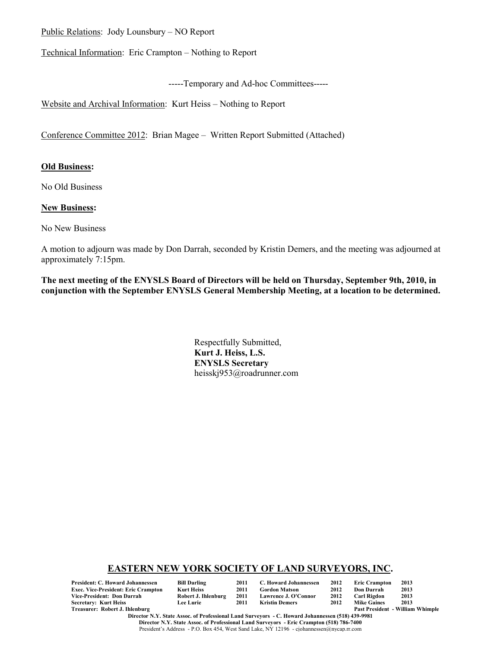Public Relations: Jody Lounsbury – NO Report

Technical Information: Eric Crampton – Nothing to Report

-----Temporary and Ad-hoc Committees-----

Website and Archival Information: Kurt Heiss – Nothing to Report

Conference Committee 2012: Brian Magee – Written Report Submitted (Attached)

## **Old Business:**

No Old Business

## **New Business:**

No New Business

A motion to adjourn was made by Don Darrah, seconded by Kristin Demers, and the meeting was adjourned at approximately 7:15pm.

**The next meeting of the ENYSLS Board of Directors will be held on Thursday, September 9th, 2010, in conjunction with the September ENYSLS General Membership Meeting, at a location to be determined.**

> Respectfully Submitted, **Kurt J. Heiss, L.S. ENYSLS Secretary** heisskj953@roadrunner.com

## **EASTERN NEW YORK SOCIETY OF LAND SURVEYORS, INC.**

| President: C. Howard Johannessen    | <b>Bill Darling</b> | 2011 | C. Howard Johannessen | 2012 | <b>Eric Crampton</b> | 2013                                    |
|-------------------------------------|---------------------|------|-----------------------|------|----------------------|-----------------------------------------|
| Exec. Vice-President: Eric Crampton | Kurt Heiss          | 2011 | <b>Gordon Matson</b>  | 2012 | Don Darrah           | 2013                                    |
| Vice-President: Don Darrah          | Robert J. Ihlenburg | 2011 | Lawrence J. O'Connor  | 2012 | Carl Rigdon          | 2013                                    |
| Secretary: Kurt Heiss               | <b>Lee Lurie</b>    | 2011 | Kristin Demers        | 2012 | <b>Mike Gaines</b>   | 2013                                    |
| Treasurer: Robert J. Ihlenburg      |                     |      |                       |      |                      | <b>Past President - William Whimple</b> |

**Director N.Y. State Assoc. of Professional Land Surveyors - C. Howard Johannessen (518) 439-9981 Director N.Y. State Assoc. of Professional Land Surveyors - Eric Crampton (518) 786-7400** President's Address - P.O. Box 454, West Sand Lake, NY 12196 - cjohannessen@nycap.rr.com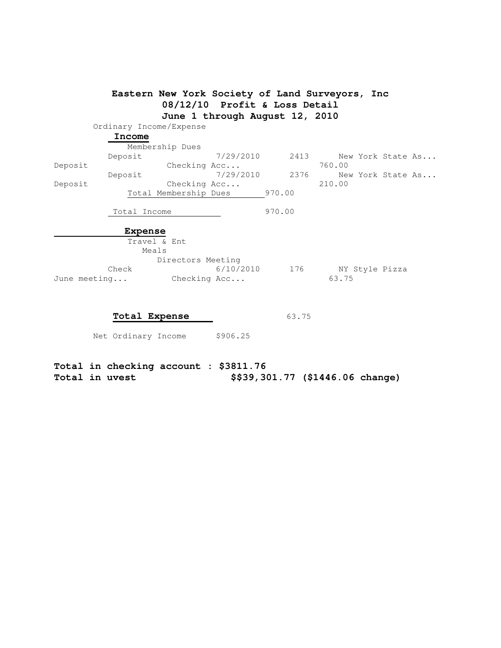|         |                         | Eastern New York Society of Land Surveyors, Inc |                                |        |        |                   |  |
|---------|-------------------------|-------------------------------------------------|--------------------------------|--------|--------|-------------------|--|
|         |                         |                                                 | 08/12/10 Profit & Loss Detail  |        |        |                   |  |
|         |                         |                                                 | June 1 through August 12, 2010 |        |        |                   |  |
|         | Ordinary Income/Expense |                                                 |                                |        |        |                   |  |
|         | Income                  |                                                 |                                |        |        |                   |  |
|         |                         | Membership Dues                                 |                                |        |        |                   |  |
|         | Deposit                 |                                                 | 7/29/2010                      | 2413   |        | New York State As |  |
| Deposit |                         | Checking Acc                                    |                                |        | 760.00 |                   |  |
|         | Deposit                 |                                                 | 7/29/2010                      | 2376   |        | New York State As |  |
| Deposit |                         | Checking Acc                                    |                                |        | 210.00 |                   |  |
|         |                         | Total Membership Dues                           |                                | 970.00 |        |                   |  |
|         |                         |                                                 |                                |        |        |                   |  |
|         | Total Income            |                                                 |                                | 970.00 |        |                   |  |
|         |                         |                                                 |                                |        |        |                   |  |
|         | <b>Expense</b>          | Travel & Ent                                    |                                |        |        |                   |  |
|         |                         | Meals                                           |                                |        |        |                   |  |
|         |                         | Directors Meeting                               |                                |        |        |                   |  |
|         | Check                   |                                                 | 6/10/2010                      | 176    |        | NY Style Pizza    |  |
|         | June meeting            | Checking Acc                                    |                                |        | 63.75  |                   |  |
|         |                         |                                                 |                                |        |        |                   |  |
|         |                         |                                                 |                                |        |        |                   |  |
|         |                         |                                                 |                                |        |        |                   |  |

**Total Expense** 63.75

Net Ordinary Income \$906.25

**Total in checking account : \$3811.76 Total in uvest \$\$39,301.77 (\$1446.06 change)**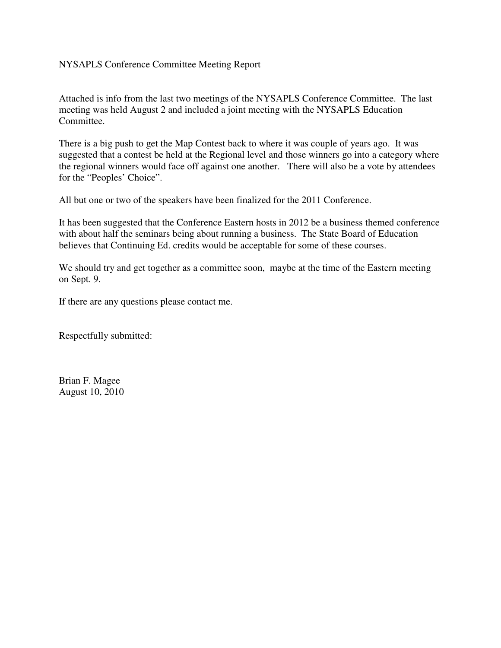# NYSAPLS Conference Committee Meeting Report

Attached is info from the last two meetings of the NYSAPLS Conference Committee. The last meeting was held August 2 and included a joint meeting with the NYSAPLS Education Committee.

There is a big push to get the Map Contest back to where it was couple of years ago. It was suggested that a contest be held at the Regional level and those winners go into a category where the regional winners would face off against one another. There will also be a vote by attendees for the "Peoples' Choice".

All but one or two of the speakers have been finalized for the 2011 Conference.

It has been suggested that the Conference Eastern hosts in 2012 be a business themed conference with about half the seminars being about running a business. The State Board of Education believes that Continuing Ed. credits would be acceptable for some of these courses.

We should try and get together as a committee soon, maybe at the time of the Eastern meeting on Sept. 9.

If there are any questions please contact me.

Respectfully submitted:

Brian F. Magee August 10, 2010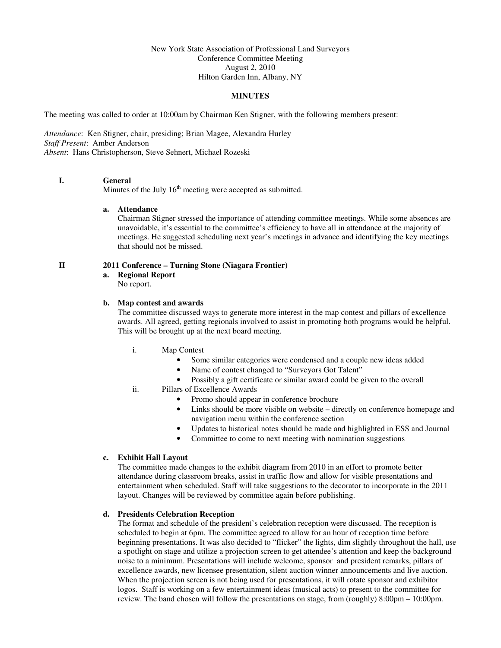### New York State Association of Professional Land Surveyors Conference Committee Meeting August 2, 2010 Hilton Garden Inn, Albany, NY

### **MINUTES**

The meeting was called to order at 10:00am by Chairman Ken Stigner, with the following members present:

*Attendance*: Ken Stigner, chair, presiding; Brian Magee, Alexandra Hurley *Staff Present*: Amber Anderson *Absent*: Hans Christopherson, Steve Sehnert, Michael Rozeski

### **I. General**

Minutes of the July  $16<sup>th</sup>$  meeting were accepted as submitted.

### **a. Attendance**

Chairman Stigner stressed the importance of attending committee meetings. While some absences are unavoidable, it's essential to the committee's efficiency to have all in attendance at the majority of meetings. He suggested scheduling next year's meetings in advance and identifying the key meetings that should not be missed.

### **II 2011 Conference – Turning Stone (Niagara Frontier)**

**a. Regional Report**

No report.

### **b. Map contest and awards**

The committee discussed ways to generate more interest in the map contest and pillars of excellence awards. All agreed, getting regionals involved to assist in promoting both programs would be helpful. This will be brought up at the next board meeting.

- i. Map Contest
	- Some similar categories were condensed and a couple new ideas added
	- Name of contest changed to "Surveyors Got Talent"
	- Possibly a gift certificate or similar award could be given to the overall
- ii. Pillars of Excellence Awards
	- Promo should appear in conference brochure
	- Links should be more visible on website directly on conference homepage and navigation menu within the conference section
	- Updates to historical notes should be made and highlighted in ESS and Journal
	- Committee to come to next meeting with nomination suggestions

### **c. Exhibit Hall Layout**

The committee made changes to the exhibit diagram from 2010 in an effort to promote better attendance during classroom breaks, assist in traffic flow and allow for visible presentations and entertainment when scheduled. Staff will take suggestions to the decorator to incorporate in the 2011 layout. Changes will be reviewed by committee again before publishing.

### **d. Presidents Celebration Reception**

The format and schedule of the president's celebration reception were discussed. The reception is scheduled to begin at 6pm. The committee agreed to allow for an hour of reception time before beginning presentations. It was also decided to "flicker" the lights, dim slightly throughout the hall, use a spotlight on stage and utilize a projection screen to get attendee's attention and keep the background noise to a minimum. Presentations will include welcome, sponsor and president remarks, pillars of excellence awards, new licensee presentation, silent auction winner announcements and live auction. When the projection screen is not being used for presentations, it will rotate sponsor and exhibitor logos. Staff is working on a few entertainment ideas (musical acts) to present to the committee for review. The band chosen will follow the presentations on stage, from (roughly) 8:00pm – 10:00pm.